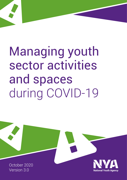# Managing youth sector activities and spaces during COVID-19

 **National Youth Agency** 

October 2020 Version 3.0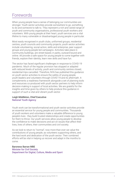### Forewords

When young people have a sense of belonging our communities are stronger. Youth sector activities provide somewhere to go, something to do and someone to talk to. They represent a rich and varied range of youth and community organisations, professional youth workers and volunteers. With young people at their heart, youth services are a vital lifeline to many vulnerable or disadvantaged young people in particular.

Most easily recognised in youth clubs, uniformed groups, residential centres, youth councils and community projects, youth sector activities include volunteering, social action, skills and enterprise, peer support groups and young people led campaigns. Activities take place in community buildings, are street-based, in parks, outward bound and online. All provide a safe space for young people to come together with friends, explore their identity, learn new skills and have fun.

The sector has faced significant challenges in response to COVID-19 pandemic. Much of the regular provision has stopped or adapted with reduced levels of activity, youth and community centres closed, residential trips cancelled. Therefore, NYA has published this guidance on youth sector activities to ensure the safety of young people, youth leaders and volunteers through COVID-19 and its aftermath. It complements a readiness framework alongside a set of planning tools and resources co-produced with youth sector partners to help inform decision-making in support of local activities. We are grateful for the insights and time given by others to help produce this guidance in support of such a vital and vibrant youth sector.

#### Leigh Middleton, Chief Executive National Youth Agency

Youth work can be transformational and youth sector activities provide an essential service for young people and communities. Thousands of youth workers and volunteers make a valuable difference to young people's lives - they build trusted relationships and create opportunities for them to thrive. Our youth services allow young people to develop the confidence to make decisions and act on issues that affect their lives, lives of others, their communities and civil society.

As we look to return to "normal", now more than ever we value the contributions of young people, as volunteers supporting others, and the hard work and dedication of the youth sector. Their combined efforts will be vital in helping us recover and adapt in the months to come.

#### Baroness Barran MBE Minister for Civil Society Department for Digital, Culture, Media and Sport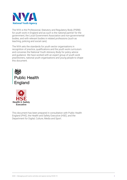

The NYA is the Professional, Statutory and Regulatory Body (PSRB) for youth work in England and as such is the national partner for the government, the Local Government Association and non-governmental bodies, and with relevant bodies in related professions (such as teaching, policing and social care).

The NYA sets the standards for youth sector organisations in recognition of practice, qualifications and the youth work curriculum and convenes the National Youth Advisory Body for policy advice and guidance. We have worked with an expert group of youth work practitioners, national youth organisations and young people to shape this document.





This document has been prepared in consultation with Public Health England (PHE), the Health and Safety Executive (HSE), and the Department for Digital, Culture, Media and Sport.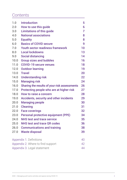### **Contents**

| 1.0                               | <b>Introduction</b>                            | 5  |
|-----------------------------------|------------------------------------------------|----|
| 2.0                               | How to use this guide                          | 6  |
| 3.0                               | <b>Limitations of this guide</b>               | 7  |
| 4.0                               | <b>National associations</b>                   | 8  |
| 5.0                               | <b>Equality</b>                                | 8  |
| 6.0                               | <b>Basics of COVID secure</b>                  | 9  |
| 7.0                               | <b>Youth sector readiness framework</b>        | 10 |
| 8.0                               | <b>Local lockdowns</b>                         | 13 |
| 9.0                               | <b>Social distancing</b>                       | 14 |
| 10.0                              | <b>Group sizes and bubbles</b>                 | 16 |
| 11.0                              | <b>COVID-19 secure venues</b>                  | 18 |
| 12.0                              | <b>Outdoor learning</b>                        | 19 |
| 13.0                              | <b>Travel</b>                                  | 20 |
| 14.0                              | <b>Understanding risk</b>                      | 22 |
| 15.0                              | <b>Managing risk</b>                           | 24 |
| 16.0                              | Sharing the results of your risk assessments   | 26 |
| 17.0                              | Protecting people who are at higher risk       | 27 |
| 18.0                              | <b>How to raise a concern</b>                  | 28 |
| 19.0                              | <b>Accidents, security and other incidents</b> | 29 |
| 20.0                              | <b>Managing people</b>                         | 30 |
| 21.0                              | <b>Cleaning</b>                                | 31 |
| 22.0                              | <b>Face coverings</b>                          | 32 |
| 23.0                              | <b>Personal protective equipment (PPE)</b>     | 34 |
| 24.0                              | <b>NHS test and trace service</b>              | 35 |
| 25.0                              | <b>NHS test and trace QR codes</b>             | 36 |
| 26.0                              | <b>Communications and training</b>             | 38 |
| 27.0                              | <b>Waste disposal</b>                          | 39 |
| Appendix 1. Definitions           |                                                |    |
| Appendix 2. Where to find support |                                                |    |
| Appendix 3. Legal statement       |                                                |    |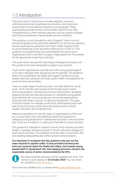# <span id="page-4-0"></span>1.0 Introduction

The youth sector is diverse and includes statutory, voluntary, uniformed and private organisations as funders, commissioners and providers of activities and spaces for young people. These organisations provide services and activities outside of but often complementary to other statutory services, such as schools, colleges and child and adolescent mental health services (CAMHS).

This guidance is only intended for use in England. There is current advice and guidance that should be adhered to for the formal, statutory services and national guidance from Public Health England (PHE) on social distancing, travel and other measures for COVID-19. This guidance is complementary and contextualised for youth sector organisations and is intended to support organisations as they prepare for the appropriate reopening of services.

The youth sector has specific and unique challenges and needs, and this guidance has been developed to support your practice.

Youth sector organisations typically work with young people aged 8 to 25 years, although other age groups are recognised. This guidance takes into consideration the safety and support needed for young people, staff and volunteers and wider public health considerations for youth services and activities.

There is a wide range of youth provision, normally defined as 'youth work', which includes open-access work through youth centres, community projects, volunteering and youth social action, alongside targeted services and specialist groups for vulnerable young people. Such activities are run by local groups, community organisations and local authorities or as part of national programmes. The types of activity include, for example, youth clubs, street-based youth work, peer-led youth groups, uniformed youth groups, youth councils, outdoor education and residential trips.

National associations for specific types of organisations (uniformed, etc.) and activities may have additional advice and guidance to safeguard young people and in related areas of sports, culture and the arts, which are included in or make use of facilities for youth activities.

This guidance is intended to support councils, local voluntary providers, leaders, volunteers and young people to remain safe when engaging in youth sector activities. This guidance must be used in conjunction with your existing safeguarding and welfare policies and procedures.

**It is important to recognise that this guidance only sets out the steps required to operate safely. If local providers/centres/units have any concerns about the health and safety, care towards young people/staff or reputational risk, then keeping provision closed is the responsible course of action recommended by the NYA.**



We expect that this document will be updated over time. This version is up-to-date as of **23 October 2020**. You can check for updates at [www.nya.org.uk](http://www.nya.org.uk) 

If you have any feedback for us, please email quidance@nya.org.uk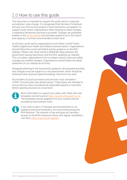# <span id="page-5-0"></span>2.0 How to use this guide

This document is intended to support the youth sector's response as lockdown rules change. It is recognised that the level of lockdown will vary over time and by location if local restrictions are applied. To support youth sector organisations when reacting to these changes a readiness framework and level is provided. Changes are published weekly on the [NYA's website](https://nya.org.uk) and provides guidance as to the nature and capacity of activity recommended at each level.

At all times, youth sector organisations must follow current Public Health England and Health and Safety Executive advice. Organisations should follow the current permitted activity guidance on the NYA website. Please note, there will be a deliberate delay between the government easing restrictions and the NYA updating our website. This is to allow organisations time to prepare, assess risks and safely manage any needed changes. Organisations should follow the latest statement on our website at all times.

Alongside adhering to the framework's guidance, all proposed activities and changes must be subject to a risk assessment, which should be enhanced when physical spaces/buildings /land are to be used.

All providers of youth provisions and services must complete a COVID-19 action plan (see details below). These plans are intended to ensure that you have considered all reasonable aspects of activities before opening provision at a local level.



More information to support your plans with check lists and templates can be found at<https://youthworksupport.co.uk>. The templates can be adapted to fit your context and are provided as best practice tools.



If you wish to learn of changes and amendments to our guidance and local lockdowns, we recommend joining the NYA Network. The network is free and gives all members access to the NYA's resources library and regular newsletters. Join here: <https://nya.org.uk/register/>

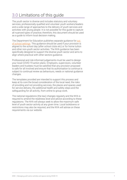# <span id="page-6-0"></span>3.0 Limitations of this guide

The youth sector is diverse and includes statutory and voluntary services, professionally qualified and volunteer youth workers/leaders and a wide range of approaches to the delivery of youth services and activities with young people. It is not possible for this guide to capture all nuanced types of practice; therefore, this document should be used as a guide to inform local decision making.

The Department for Education publishes separate guidance for out [of school settings.](https://www.gov.uk/government/publications/protective-measures-for-holiday-or-after-school-clubs-and-other-out-of-school-settings-for-children-during-the-coronavirus-covid-19-outbreak/protective-measures-for-out-of-school-settings-during-the-coronavirus-covid-19-outbreak) This guidance should be used if your provision is aligned to the school day (after school clubs etc) or for home tuition and other non-youth sector activities. The NYA guidance has been specifically designed to support the diverse youth sector and aims to align where practical with other sectors guidance.

Professional and risk-informed judgements must be used to design your local COVID-19 action plans. Employers, supervisors, volunteer leaders and trustees must be satisfied that any provision proposed is safe for all involved and ensure that its authorisation to continue is subject to continual review as behaviours, needs or national guidance changes.

The templates provided are intended to support this process and keep at its core the broad consideration of the local need, the risks of providing and not providing services, the places and spaces used for service delivery, the additional health and safety steps and the safeguarding for all activity, from online to group work.

The national regulations (the law) changes regularly and the NYA is required to amend the readiness level and advice according to these regulations. The NYA will always seek to allow the maximum safe level of youth sector activity at any given time. Local lockdowns or restrictions may also be required, and the NYA will advise on these requirements via our website.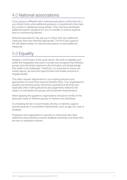### <span id="page-7-0"></span>4.0 National associations

If your group is affiliated with a national association (uniformed, etc.), you should check what additional guidance or requirements they have put in place to safeguard young people. They may have developed additional specific quidance for you to consider or actions required prior to commencing delivery.

National associations may ask you to follow their own additional measures they have deemed appropriate. The NYA fully supports the self-determination of national associations to add additional measures.

### 5.0 Equality

Equality is at the heart of the youth sector. We work to highlight and tackle the inequalities that exist in society and recognise that different groups and individuals experience discrimination and disadvantage that needs to be challenged. Therefore, it is important to ensure we create spaces, services and opportunities that enable everyone to engage equally.

This often requires adjustments to our working practices and approaches to ensure that everyone benefits fairly. Your organisation's equality and diversity policy should be considered at all times and especially when making decisions and judgements related to the impact on individuals and groups with protected characteristics.

When applying this guidance, organisations should be mindful of the particular needs of different groups of workers and individuals.

It is breaking the law to discriminate, directly or indirectly, against anyone because of a protected characteristic, such as age, sex, race or disability.

Employers and organisations (voluntary or otherwise) also have additional responsibilities towards disabled individuals and those who are new or expectant mothers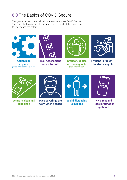### 6.0 The Basics of COVID Secure

This guidance document will help you ensure you are COVID Secure. There are the basics, but please ensure you read all of this document to understand the detail:



**Action plan in place**  (roles and responsibilities)



**Risk Assessment are up-to-date**



**Groups/Bubbles are manageable**  (age appropriate)



**Hygiene is robust – handwashing etc**



**Venue is clean and kept clean**



**Face coverings are worn when needed**



**Social distancing is in place**



**NHS Test and Trace information gathered**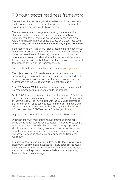# <span id="page-9-0"></span>7.0 Youth sector readiness framework

The readiness framework aligns with the NYA's published readiness level, which is updated on a weekly basis in line with government guidance and is available on the NYA's website.

The readiness level will change as and when government advice changes. For this reason, youth sector organisations and groups are advised to monitor the readiness level on a weekly basis and cross reference this level with the guidance provided on the permitted youth sector activity. **The NYA readiness framework only applies to England.**

If the readiness level falls, this will signal that more face-to-face youth sector activity will be recommended. If the readiness level increases (due to increased levels of the virus), youth sector activity will be recommended to reduce in line with the framework and changes to the law. Existing online or digital youth sector provision can continue to take place at any level of the readiness system.

You can check the current readiness level here: <https://nya.org.uk>

The objective of the NYA's readiness level is to enable as much youth sector activity as possible to take place at each level as and when it is safe to do so and to allow youth sector leaders to make plans in accordance with the status of COVID-19 in the community.

Since **23 October 2020** the readiness framework has been updated. We recommend paying close attention to the changes.

On the 14 October the government implemented new local COVID Tiers. These tiers may vary by area and can go up or down with the prevalence of the virus locally. The NYA working with the DCMS has determined that all three tiers map to our readiness framework at Amber, although additional local restrictions may apply at Tier 3 (Very High Alert. More information on the COVID Tiers can be found of gov.uk [here.](https://www.gov.uk/guidance/local-covid-alert-levels-what-you-need-to-know)

Organisations can check their local COVID Tier level by clicking [here.](https://www.gov.uk/find-coronavirus-local-restrictions)

Organisations must make their own judgements and undertake comprehensive risk assessments to decide if it is possible to comply with the guidance provided in this document. These judgements should not be informal or lightly taken decisions, rather they should be within your organisation's health and safety framework/policy and show due consideration to national guidance and insurance regulations.

Key parts of these measures are underpinned by law, which sets out clearly what you must and must not do  $-$  every person in the country must continue to comply with this. The relevant authorities, including the police, have the powers to enforce the law  $-$  including through fines and dispersing gatherings.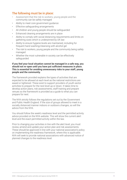### The following must be in place:

- Assessment that the risk to workers, young people and the community can be safely managed
- Ability to meet core government guidance
- Effective safeguarding arrangements
- All children and young people should be safeguarded
- Enhanced cleaning arrangements are in place
- Ability to comply with social distancing requirements and limits on gathering sizes which is underpinned by UK law
- Ability to ensure hygiene levels are maintained, including for frequent hand washing/cleansing with alcohol gel
- The risk to workers, young people and the community being safely managed
- Whether the most vulnerable in society can be effectively safeguarded

#### **If you feel your local situation cannot be managed in a safe way, you should not re-open until you have put sufficient measures in place. This is essential for avoiding unnecessary risks to your staff, young people and the community.**

The framework provided explains the types of activities that are expected to be allowed at each level as the national restrictions are eased or tightened. These exist to support providers of youth sector activities to prepare for the next level up or down. It takes time to develop action plans, risk assessments, staff training and prepare venues so the framework is provided as a guide to what you can prepare for next.

The NYA strictly follows the regulations set out by the Government and Public Health England. If the size of groups allowed to meet in a socially distanced manner indoors or outdoors changes, so will the advice from the NYA.

You should follow the week's readiness level and the permitted activity advice provided on the NYA website. This will show the current alert level and the exact permitted activity within the law.

Prior to changing your activities in line with the alert level, you must review, amend and update your action plan and risk assessments. These should be approved in line with your national association's policy on implementing the readiness framework, where this is applicable. NYA will seek to provide national associations with advanced notice of planned changes to the readiness level.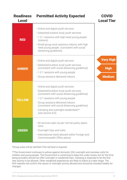| <b>Readiness</b><br><b>Level</b> | <b>Permitted Activity Expected</b>                                                                                                                                                                                                                                                                                            | <b>COVID</b><br><b>Local Tier</b> |
|----------------------------------|-------------------------------------------------------------------------------------------------------------------------------------------------------------------------------------------------------------------------------------------------------------------------------------------------------------------------------|-----------------------------------|
| <b>RED</b>                       | • Online and digital youth services<br>• Detached/outdoor local youth services<br>• 1-2-1 sessions with high-need young people<br>(indoors)<br>• Small group work sessions indoors with high<br>need young people. (consistent with social<br>distancing guidelines)                                                          |                                   |
|                                  | • Online and digital youth services<br>• Detached/outdoor local youth services                                                                                                                                                                                                                                                | <b>Very High</b>                  |
| <b>AMBER</b>                     | (consistent with social distancing guidelines)                                                                                                                                                                                                                                                                                | <b>High</b>                       |
|                                  | • 1-2-1 sessions with young people<br>• Group sessions delivered indoors                                                                                                                                                                                                                                                      | <b>Medium</b>                     |
| <b>YELLOW</b>                    | • Online and digital youth services<br>• Detached/outdoor local youth services<br>(consistent with social distancing quidelines)<br>• 1-2-1 sessions with young people<br>· Group sessions delivered indoors<br>(consistent with social distancing guidelines)<br>• Camping and overnight residentials**<br>(see section 8.0) |                                   |
| <b>GREEN</b>                     | • All services open as per normal yearly opera-<br>tions<br>• Overnight trips and visits<br>. International travel allowed within Foreign and<br>Commonwealth Office advice                                                                                                                                                   |                                   |

\*Group sizes will be clarified if the red level is required.

\*\*The Government continues to advise against domestic (UK) overnight and overseas visits for children and young people. The Government is continuing to keep this under review, but for the time being providers should not offer overnight or residential trips. Camping is expected to be the first new activity to be allowed. Other residential experiences are likely to follow at a later stage. The NYA website will confirm the nature of overnight activity allowed and should be checked weekly for changes.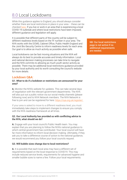### <span id="page-12-0"></span>8.0 Local Lockdowns

While this guidance applies to England, you should always consider whether there are local restrictions in place in your area – these can be checked [here.](https://www.gov.uk/find-coronavirus-local-restrictions) If you live or work in an area that is experiencing a local COVID-19 outbreak and where local restrictions have been imposed, different guidance and legislation will apply.

It is possible that different parts of the country will be subject to different readiness levels based on the 'R' number in your area. The NYA works with the DCMS, Cabinet Office, Public Health England and the Joint Bio-Security Centre to inform readiness levels for each area. Our goal is to allow as much activity as possible when safe.

Local lockdowns can be fast moving situations and the NYA will always do its best to provide accurate and timely information. Local and national decision making processes can take time to navigate and the NYA commits to allowing as much youth sector activity as possible. There may be additional local restrictions guidance provided by your local authority and its worth consulting the council's website for more details.

#### Lockdown Q&A:

#### **Q1. What to do if a lockdown or restrictions are announced for your area?**

**A.** Monitor the NYA's website for updates. This can take several days of negotiation with the relevant government departments. The NYA will also put out a public notice via our social media channels (please following now) and to NYA Network members. The NYA Network is free to join and can be registered for here: https://nya.org.uk/register/

If your area is asked to move to a different readiness level, you must immediately take steps to implement changes to ensure you comply with the NYA readiness framework at all times.

#### **Q2. Our Local Authority has provided us with conflicting advice to the NYA, what should we do?**

**A.** Engage with your local council's Public Health team. You may explain that you are planning to follow the NYA's national guidance to which central government has contributed. Your local council will have far more information to inform local decision making. Ultimately, if they ask you to take a difference course of action to the national guidance, we would recommend you follow your local councils request.

#### **Q3. Will bubble sizes change due to local restrictions?**

**A.** It is possible that each local area may have a different set of requirements based on the local response to COVID19. This may include reduced service levels, requirements for advanced hygiene and smaller bubble sizes to name a few. Follow your local requirements.

NB: Our local restrictions page is not active if no additional requirements are needed.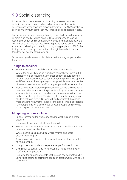# 9.0 Social distancing

It is essential to maintain social distancing wherever possible, including when arriving at and departing from a location, while delivering and when travelling between locations. The NYA's goal is to allow as much youth sector activity to take place as possible, if safe.

Social distancing becomes significantly more challenging the younger or more high need of young people. The sector needs to take all reasonable action and mitigation where possible but should have the confidence to provide services to young people during COVID19. For example, if delivering to under 8yrs or to young people with SEND, then their personal capacity to follow the rules rigidly may be imperfect – this does not need to stop provision.

Government guidance on social distancing for young people can be found [here.](https://www.gov.uk/government/publications/coronavirus-covid-19-meeting-with-others-safely-social-distancing/coronavirus-covid-19-meeting-with-others-safely-social-distancing?priority-taxon=774cee22-d896-44c1-a611-e3109cce8eae)

### Things to consider

- You must maintain social distancing wherever possible.
- Where the social distancing guidelines cannot be followed in full in relation to a particular activity, organisations should consider whether that activity needs to continue for the provision to operate, and if so, take all the mitigating actions possible to reduce the risk of transmission between staff, young people and the community.
- Maintaining social distancing reduces risk, but there will be some situations where it may not be possible to fully distance, or where some contact is required to enable your programme to function and achieve its objectives. This is likely to occur between younger children or those with SEND who will find consistent distancing more challenging (whether indoors, or outside). This is acceptable for short periods for these groups of young people and provided limits on group sizes are followed.

### Mitigating actions include:

- Further increasing the frequency of hand washing and surface cleaning.
- If you can deliver your activities outdoors do.
- Keeping the activity time involved as short as possible and in small groups in consistent bubbles.
- Where possible using activities where maintaining social distancing is simpler.
- Avoid any activities which risk sustained close contact or 'huddles' of young people.
- Using screens as barriers to separate people from each other.
- Using back-to-back or side-to-side working (rather than face-toface) whenever possible.
- Reducing the number of people each person has contact with by using 'fixed teams or partnering' (so each person works with only a few others).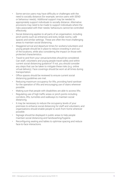- Some service users may have difficulty or challenges with the need to socially distance (for example, service users with SEND or behaviour needs). Additional support may be needed to appropriately support individuals to socially distance. Alternative provisions may need to be made to support individuals where the risks associated with their needs/ behaviours cannot be controlled effectively.
- Social distancing applies to all parts of an organisation, including pinch points such as entrances and exits, break rooms, café spaces and similar settings. These are often the most challenging areas to maintain social distancing.
- Staggered arrival and departure times for workers/volunteers and young people should be in place to reduce crowding in and out of the locations, while also considering the impact on those with protected characteristics.
- Travel to and from your venue/activities should be considered. Can staff, volunteers and young people travel safely and within current social distancing guidance? If not, you should consider any steps that can be taken to mitigate these risks (e.g. online virtual delivery). Face coverings should be worn at all times during transportation.
- Office spaces should be reviewed to ensure current social distancing guidelines are met.
- Reducing maximum occupancy for lifts, providing hand sanitiser for the operation of lifts and encouraging use of stairs wherever possible.
- Making sure that people with disabilities are able to access lifts.
- Regulating use of high traffic areas or pinch points including corridors, lifts, turnstiles and walkways to maintain social distancing.
- It may be necessary to reduce the occupancy levels of your premises to enhance social distancing for staff and volunteers; and organisations should enable people to work from home wherever possible.
- Signage should be displayed in public areas to help people maintain social distancing and handwashing/hygiene.
- Reconfiguring seating and tables to optimise spacing and reduce face-to-face interactions.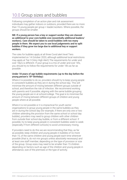# <span id="page-15-0"></span>10.0 Group sizes and bubbles

Following completion of an action plan and risk assessment individuals may gather indoors or outdoors, provided there are no more than 15 young people per group + leader/workers. Where possible, the groups should be smaller.

#### **NB: If a young person has a key or support worker they are classed as additional to your core bubble size (essentially additional leaders/ workers). Care should be taken to avoid bubbles with too many people in them. We expect you to use local judgements and to split bubbles if they grow too large due to additional key or support workers.**

The rules for bubbles apply at all three Covid alert level Tiers implemented on 14 October 2020, although additional local restrictions may apply at Tier 3 (Very High Alert) The requirements for under and over 18yrs is different. If your group is a mix of under and over 18's, you should try to follow the requirements for under 18's as far as possible.

#### **Under 18 years of age bubble requirements (up to the day before the young person's 18th Birthday):**

Where it is possible to do so, providers should try to keep young people in consistent bubbles as they are in during the school day. This will minimise the amount of mixing between different groups outside of school, and therefore the risk of infection. We recommend working with parents and if possible, aligning with the same bubble grouping the young people are in at school/college. The goal is to minimise the amount of mixing between different groups of children and young people where at all possible.

Where it is not possible or it is impractical for youth sector organisations to group young people in the same bubbles as they are in during the school day (for example, if there are only one or two children attending the provision from the same school or school day bubble), providers may need to group children with other children from outside their school day bubble, or from a different school. If possible, try to keep young people in consistent bubbles week to week (especially if from different schools) to avoid unnecessary mixing.

If providers need to do this we are recommending that they, as far as possible, keep children and young people in bubbles of no more than 15, of the same children and young people each time wherever possible (that is, do not mix groups unless absolutely necessary) and at least one staff member, depending on the type of provision or size of the group. Group sizes may need to be smaller than 15 children depending on factors such as age of the children and young people in attendance, size of the premises or the type of activity.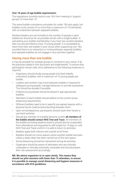#### <span id="page-16-0"></span>**Over 18 years of age bubble requirements:**

The regulations currently restrict over 18's from meeting in 'support groups' of more than 15.

The same bubble consistency principles for under 18's also apply, but bubbles must consist of no more than a maximum of 15 individuals, with no interaction between separate bubbles.

Workers/leaders are not included in the number of people in each bubble but should as far as possible remain with a single bubble. In calculating your bubble membership, if you have two workers/leaders, then you are permitted to have 15 young people. It is acceptable to have more than one bubble in your venue when supporting over 18's, provided there is no interaction or mixing between separate bubbles, and separate bubbles do not engage in any activities together.

#### Having more than one bubble:

It may be possible for multiple groups to convene in your venue, if all the practices stated in this document are implemented. To ensure that participants remain safe, strict adherence to the following measures is required:

- Organisers should divide young people into fixed (ideally consistent) bubbles, with a maximum of 15 young people per bubble.
- Leaders and workers may move between bubbles if required to safeguard young people, manage behaviour or provide assistance. This should be avoided if possible.
- Children/young people should be placed in age appropriate bubbles.
- Members of each bubble should adhere to the current social distancing requirements.
- Different bubbles need to be in specific pre-agreed spaces with a physical barrier (wall/screens/bunting) between them
- Upon arrival/departure, participants should wash their hands or use hand sanitiser.
- Should any member of a bubble become unwell, **all members of the bubble should contact NHS Test and Trace**. All members of the bubble (including leaders/visitors) should also be suspended from attendance and requested to self-isolate for 14 days or until NHS Test and Trace confirm it is safe to return to activities.
- Bubbles apply both indoors and outside at all times.
- Bubbles should not move spaces where another bubble has been unless a deep clean has been carried out of the new space.
- Social distancing should be maintained during all activities.
- Organisers should be aware of attendees who are clinically vulnerable or clinically extremely vulnerable and should prepare their risk assessment accordingly.

**NB: We advise organisers to re-open slowly. This means they should run pilot sessions with fewer than 15 attendees, to ensure it is possible to manage social distancing and hygiene measures in accordance with NYA guidelines.**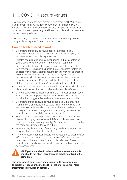# <span id="page-17-0"></span>11.0 COVID-19 secure venues

This guidance meets the government requirement for COVID Secure. If you comply with NYA guidance your venue is considered COVID Secure. This would permit multiple bubbles (of up to 15 people each) in venues that are large enough **and** have put in place all the measures outlined in our guidance.

This must only be considered if your venue is large enough to have multiple distinct spaces for each bubble to meet.

### How do bubbles need to work?

- Organisers should divide young people into fixed (ideally consistent) bubbles, with a maximum of 15 young people (plus workers/leaders) per bubble per session.
- Bubbles should not join with other bubbles (bubbles containing young people over the age of 18 must remain separate).
- Individuals should (and where young people over the age of 18 are involved, must) remain in the bubble they are allocated for that day and ideally over repeat attendance, though this may not be practical in some circumstances. Where this is the case, youth sector organisations should frequently review their bubbles in order to minimise the amount of 'mixing', and should keep up-to-date records of those attending for at least 21 days, to help them to do this.
- As the risk of transmission is lower outdoors, activities should take place outdoors as often as possible and when it is safe to do so.
- Different bubbles should ideally enter and exit through different doors – when sessions begin, during breaks and when leaving the site. If not possible then stagger arrival and departure times where possible.
- Organisers should encourage young people to arrive only with members of their bubble and to avoid mingling before and after sessions. We understand that organisers have limited control in this regard, but we encourage you to brief young people and to educate them on social distancing requirements.
- Shared spaces such as sports halls, kitchens, etc. must be deep cleaned thoroughly between use if different bubbles are to use them on the same day (sequentially). Spaces should not be used at the same time by more than one bubble.
- Enhanced regular cleaning of commonly used surfaces, such as equipment and door handles, should be ensured.
- It is not necessary for each bubble to use separate toilets; however, efforts should be made to limit the numbers of users at a given time. Use of different toilets for each bubble is ideal. Please consider safeguarding concerns when planning and preparing your risk assessments.

#### **NB: If you are unable to adhere to the above requirements, you should not allow more than one bubble to attend at the same time.**   $\blacktriangle$

**The government now require some pubic youth sector venues to display QR codes linked to the NHS Test and Trace App. More information is provided in section 24**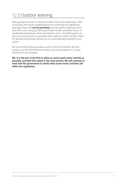### <span id="page-18-0"></span>12.0 Outdoor learning

Many groups are keen to resume outdoor trips and residentials. After consulting with sector organisations and reviewing the regulations, overnight stays will **not be permitted** until the yellow readiness level. Even then only camping will be permitted initially, and other forms of residential experiences will be permitted in time. The NYA's goal is to allow as much activity as possible that's safe and within the law. Rules for families and private citizens do not automatically translate to our sector.

We recommend that you keep an eye on the NYA website. Be sure to sign up to the NYA Network (https://nya.org.uk/register/), to stay informed of any changes.

**NB: It is the aim of the NYA to allow as much youth sector activity as possible, provided that safety is the main priority. We will continue to work with the government to clarify what youth sector activities fall within the regulations.**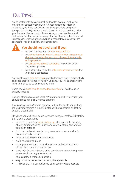# 13.0 Travel

Youth sector activities often include travel to events, youth voice meetings or educational venues. It is recommended to ideally walk and cycle if you can. Where this is not possible, use public transport or drive (you should avoid travelling with someone outside your household or support bubble unless you can practise social distancing. See the guidance on car sharing). If using public transport is necessary, wearing a face covering is mandatory, unless you are exempt for health, disability or other reasons.



#### You should not travel at all if you:

- are experiencing any [coronavirus symptoms](https://www.nhs.uk/conditions/coronavirus-covid-19/symptoms/)
- are [self-isolating as a result of coronavirus symptoms or](https://www.gov.uk/government/publications/covid-19-stay-at-home-guidance)  [sharing a household or support bubble with somebody](https://www.gov.uk/government/publications/covid-19-stay-at-home-guidance)  [with symptoms](https://www.gov.uk/government/publications/covid-19-stay-at-home-guidance)
- are [clinically extremely vulnerable](https://www.gov.uk/government/publications/guidance-on-shielding-and-protecting-extremely-vulnerable-persons-from-covid-19) and cannot shield during your journey
- have been advised by the [NHS test and trace service](https://www.nhs.uk/conditions/coronavirus-covid-19/testing-and-tracing/nhs-test-and-trace-if-youve-been-in-contact-with-a-person-who-has-coronavirus/) that you should self-isolate

You must wear a [face covering](https://www.gov.uk/guidance/coronavirus-covid-19-safer-travel-guidance-for-passengers#face-coverings) on public transport and in substantially enclosed areas of transport hubs in England. You will be breaking the law if you fail to do so and could be fined.

Some people [don't have to wear a face covering](https://www.gov.uk/guidance/coronavirus-covid-19-safer-travel-guidance-for-passengers#exemptions-face-coverings) for health, age or equality reasons.

The risk of transmission is small at 2 metres and where possible, you should aim to maintain 2 metres distance.

If you cannot keep a 2 metre distance, reduce the risk to yourself and others by maintaining a 1 metre distance where possible, and taking suitable precautions.

Help keep yourself, other passengers and transport staff safe by taking the following precautions:

- ensure you maintain [social distancing,](https://www.gov.uk/guidance/coronavirus-covid-19-safer-travel-guidance-for-passengers#social-distancing) where possible, including at busy entrances, exits, under canopies, bus stops, platforms or outside of stations
- limit the number of people that you come into contact with, for example avoid peak travel
- wash or sanitise your hands regularly
- avoid touching your face
- cover your mouth and nose with a tissue or the inside of your elbow when coughing or sneezing
- travel side by side or behind other people, rather than facing them, where seating arrangements allow
- touch as few surfaces as possible
- stay outdoors, rather than indoors, where possible
- minimise the time spent close to other people, where possible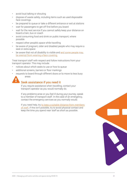- <span id="page-20-0"></span>avoid loud talking or shouting
- dispose of waste safely, including items such as used disposable face coverings
- be prepared to queue or take a different entrance or exit at stations
- wait for passengers to get off first before you board
- wait for the next service if you cannot safely keep your distance on board a train, bus or coach
- avoid consuming food and drink on public transport, where possible
- respect other people's space while travelling
- be aware of pregnant, older and disabled people who may require a seat or extra space
- be aware that not all disability is visible and and some people may [be exempt from wearing a face covering](https://www.gov.uk/guidance/coronavirus-covid-19-safer-travel-guidance-for-passengers#exemptions-face-coverings)

Treat transport staff with respect and follow instructions from your transport operator. This may include:

- notices about which seats to use or how to queue
- additional screens, barriers or floor markings
- requests to board through different doors or to move to less busy areas



#### Seek assistance if you need it

If you require assistance when travelling, contact your transport operator as you would normally do.

If any problems arise or you feel ill during your journey, speak to a member of transport staff. In the case of an emergency, contact the emergency services as you normally would.

If you need help, try [to keep a suitable distance from members](https://www.gov.uk/guidance/coronavirus-covid-19-safer-travel-guidance-for-passengers#social-distancing)  [of staff.](https://www.gov.uk/guidance/coronavirus-covid-19-safer-travel-guidance-for-passengers#social-distancing) If this isn't possible, try to avoid physical contact and

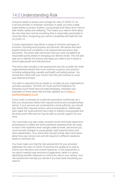### <span id="page-21-0"></span>14.0 Understanding Risk

Everyone needs to assess and manage the risks of COVID-19. As a service provider or employer (voluntary or paid), you have a legal responsibility to protect workers, young people and others from risks to their health, safety and wellbeing. This means you need to think about the risks they face and do everything that is reasonably practicable to minimise them, recognising you cannot completely eliminate the risk of COVID-19.

A youth organisation may deliver a range of activities and types of provision, including local projects and services. We advise that each project/centre/unit completes a risk assessment and action plan document. The action plan will ensure that you have considered all reasonable points ahead of changing your delivery levels. This will also help you to identify the actions and steps you need to put in place to ensure appropriate and safe provision.

The action plan includes a risk assessment and will consider the wider organisational policies that must continue to govern your practice, including safeguarding, equality and health and safety polices. You should also check with your insurer that they will continue to cover your planned activities.

Your plan is required to be as simple or complex as your organisation's activities and plans. The NYA, UK Youth and the Federation for Detached Youth Work have provided templates, checklists and examples of action plans that are kept updated; go to [https://](https://youthworksupport.co.uk) [youthworksupport.co.uk](https://youthworksupport.co.uk).

If your work is overseen by a national association (uniformed, etc.), then you should also follow their required actions and complementary advice. If your services are contracted by a local authority, you should also follow their required actions, advice and guidance. Additionally, each upper tier local authority has a duty to support young people and the local youth offer/service may be able to provide support for your work.

You must keep your plan under constant review and make responsive amendments to reflect the NYA's published readiness level. Be ready to react if the readiness level changes week-to-week, and ensure you communicate changes to young people, staff, parents/carers and other stakeholders. Your action plan should include clear information about how your service can and will respond to different readiness levels to minimise risk.

You must make sure that the risk assessment for your provision addresses the risks of COVID-19 and that this guidance is used to inform your decisions and control measures. A risk assessment is not about creating huge amounts of paperwork, rather it is about identifying sensible measures to control the risks in your setting. Your risk assessment will help you decide if you have done everything you need to.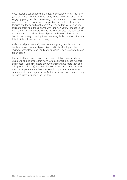Youth sector organisations have a duty to consult their staff members (paid or voluntary) on health and safety issues. We would also advise engaging young people in developing your plans and risk assessments and in the discussions about the impact on themselves, their peers/ families and their significant others. You can do this by listening and talking to them about the planned work and how you will manage risks from COVID-19. The people who do the work are often the best people to understand the risks in the workplace, and they will have a view on how to work safely. Involving them in making decisions shows that you take their health and safety seriously.

As is normal practice, staff, volunteers and young people should be involved in assessing workplace risks and in the development and review of workplace health and safety policies in partnership with your organisation.

If your staff have access to external representation, such as a trade union, you should ensure they have suitable opportunities to support this process. Some members of your team may have more than one role (paid or voluntary) and consideration should be given to the risks they may experience and how these could impact their capacity to safely work for your organisation. Additional supportive measures may be appropriate to support their welfare.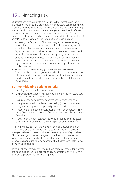# 15.0 Managing risk

Organisations have a duty to reduce risk to the lowest reasonably practicable level by taking preventative measures. Organisations must work with all other employers and contractors (e.g. nurseries) sharing the delivery location or workplace so everyone's health and safety is protected. A collective agreement should be put in place for shared spaces to outline each party' role and responsibilities. In the context of COVID-19, this means working through these steps in order:

- **1.** Increasing the frequency of handwashing and surface cleaning in every delivery location or workplace. Where handwashing facilities are not available, ensure adequate provision of hand sanitiser.
- **2.** Organisations should make every reasonable effort to comply with the social distancing guidelines set out by the government [here.](https://www.gov.uk/government/publications/coronavirus-covid-19-meeting-with-others-safely-social-distancing/coronavirus-covid-19-meeting-with-others-safely-social-distancing?priority-taxon=774cee22-d896-44c1-a611-e3109cce8eae)
- **3.** Consider the security implications of any changes you intend to make to your operations and practices in response to COVID-19 as any revisions may present new or altered security risks that could need mitigation.
- **4.** Where the social distancing guidelines cannot be followed in full for a particular activity, organisations should consider whether that activity needs to continue, and if so, take all the mitigating actions possible to reduce the risk of transmission between staff and/or young people.

### Further mitigating actions include:

- Keeping the activity time as short as possible.
- Deliver activity outdoors; whilst preparing premises for future use, when it is safe and practical to do so.
- Using screens as barriers to separate people from each other.
- Using back-to-back or side-to-side working (rather than face-toface) whenever possible – primarily in office environments.
- Reducing the number of people each person has contact with by using 'fixed teams or partnering' (so each person works with only a few others).
- If sharing equipment between individuals, routine cleaning steps should be considered before the next person uses the item(s).

Finally, if individuals must work face-to-face for a sustained period with more than a small group of fixed partners (the same people), then you will need to assess whether the activity can safely go ahead. No-one is obliged to work or engage in youth activities in an unsafe work environment. You should ensure that your staff and service users are encouraged to raise concerns about safety and that they feel comfortable doing so.

In your risk assessment, you should have particular regard for whether the people doing the work are especially vulnerable to COVID-19 or if they are supporting people who might be.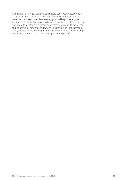If you have not already done so, you should carry out an assessment of the risks posed by COVID-19 in your delivery location as soon as possible. If you are currently operating, you are likely to have gone through a lot of this thinking already. We recommend that you use this document to identify any further improvements you should make. You should continually monitor, review and update your risk assessments with your local stakeholders (workers/volunteers, trade unions, young people and parents/carers and other appropriate parties).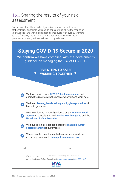### <span id="page-25-0"></span>16.0 Sharing the results of your risk assessment

You should share the results of your risk assessment with your stakeholders. If possible, you should consider publishing the results on your website (and we would expect all employers with over 50 workers to do so). Below, you will find a notice you should display in your premises to show you have followed this guidance.

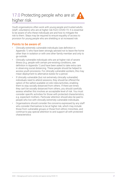### <span id="page-26-0"></span>17.0 Protecting people who are at higher risk



Youth organisations often work with young people and trusted adults (staff, volunteers) who are at higher risk from COVID-19. It is essential to be aware of who these individuals are and how to mitigate the risk to them. Steps may be required to ensure equality of access to provision for young people who are shielding or at increased risk.

### Points to be aware of:

- Clinically extremely vulnerable individuals (see definition in Appendix 1) who have been strongly advised not to leave the home other than in isolation or with one other family member and only to go outside.
- Clinically vulnerable individuals who are at higher risk of severe illness (e.g. people with certain pre-existing conditions, see definition in Appendix 1) and have been asked to take extra care in observing social distancing. These people should be helped to access youth provisions. For clinically vulnerable workers, this may mean deployment to alternative duties for a period.
- If clinically vulnerable (but not extremely clinically vulnerable) individuals need to attend sessions, they should be offered the option of the safest available on-site roles/activities, enabling them to stay socially distanced from others. If there are times they can't be socially distanced from others, you should carefully assess whether this involves an acceptable level of risk. You must consider specific activities for those with protected characteristics, e.g. expectant mothers. Particular attention should also be paid to people who live with clinically extremely vulnerable individuals.
- Organisations should consider the concerns expressed by any staff who consider themselves to be at higher risk, which may include those from vulnerable groups or those from ethnic minorities, and continue to pay special attention to and support all with protected characteristics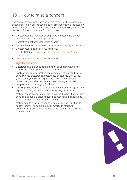### <span id="page-27-0"></span>18.0 How to raise a concern

There may be occasions where concerns persist, such as concerns about unsafe practices, safeguarding, risk management, behaviour and social distancing (please note this is not an exhaustive list). You should be able to find support via the following routes:

- Contact your line manager, an employee representative or your organisations volunteer support team.
- Contact your national association or body.
- Contact the board of trustees or executive for your organisation.
- Contact your trade union if you have one.
- Use the HSE form available a[t https://www.hse.gov.uk/contact/](https://www.hse.gov.uk/contact/ concerns.htm)  [concerns.htm.](https://www.hse.gov.uk/contact/ concerns.htm)
- Contact HSE by phone on 0300 003 1647.

- Understanding and considering the particular circumstances of those with different protected characteristics.
- Involving and communicating appropriately with staff and young people whose protected characteristics or needs (SEND, BAME, young carers, etc.) might expose them to a different degree of risk or might make any steps you are thinking about taking inappropriate or challenging for them.
- Deciding if you need to put any particular measures or adjustments in place to fulfil your duties under the equality's legislation.
- Making reasonable adjustments to avoid disabled staff and young people being put at a disadvantage and assessing the health and safety risks for new or expectant mothers.
- Making sure that the steps you take do not have an unjustifiable negative impact on some groups compared to others, for example, those with caring responsibilities or those with religious

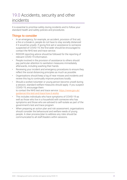### <span id="page-28-0"></span>19.0 Accidents, security and other incidents

It is essential to prioritise safety during incidents and to follow your standard health and safety policies and procedures.

- In an emergency, for example, an accident, provision of first aid, a fire or a break-in, people do not have to stay socially distanced if it would be unsafe. If giving first aid or assistance to someone suspected of COVID-19, the first-aider should be encouraged to contact the NHS test and trace service.
- RIDDOR reporting advice should be followed for the reporting of relevant COVID-19 information.
- People involved in the provision of assistance to others should pay particular attention to sanitation measures immediately afterwards, including washing their hands.
- Reviewing your incident and emergency procedures to ensure they reflect the social distancing principles as much as possible.
- Organisations should keep a log of near misses and incidents and review this log to continually improve practices locally.
- Should a worker/volunteer or young person become unwell during a session, standard welfare measures should apply. If you suspect COVID-19, encourage them to contact the NHS test and trace service: [https://www.gov.uk/](https://www.gov.uk/guidance/nhs-test-and-trace-how-it-works) [guidance/nhs-test-and-trace-how-it-works](https://www.gov.uk/guidance/nhs-test-and-trace-how-it-works)
- This includes individuals who have symptoms of COVID-19 as well as those who live in a household with someone who has symptoms and those who are advised to self-isolate as part of the government's test and trace program
- When preparing an action plan and risk assessment, organisations should consider the behavioural and welfare needs of young people. A clear process/plan to address any risks should be communicated to all staff/leaders within sessions.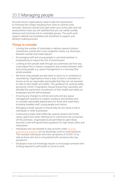# 20.0 Managing people

All youth sector organisations need to take the requirement to minimise the contact resulting from visits to centres/units seriously. Sessions should only open when your action plan and risk assessments mean you are satisfied that you can safely socially distance and minimise risk to vulnerable groups. The youth work support website has templates and checklists to support your decision-making process.

- Limiting the number of individuals in delivery spaces (indoors oroutdoors), overall and in any congestion areas, e.g. doorways between outside and inside spaces.
- Encouraging staff and young people to use hand sanitiser or handwashing to reduce the risk of transmission.
- Looking at how people walk through your premises and how you could adjust this to reduce congestion and contact between staff and young people, e.g. queue management or a one-way flow where possible.
- We know many people are also keen to return to or contribute to volunteering. Organisations have a duty of care to volunteers to ensure as far as reasonably practicable that they are not exposed to risks to their health and safety. This guidance for working safely during the COVID-19 pandemic should ensure that volunteers are afforded the same level of protection of their health and safety as employees and the self-employed.
- Ensuring any changes to entries and exits and any queue management systems to outdoor locations and facilities and to consider reasonable adjustments for those who need them, including disabled staff, young people and visitors.
- Managing outside queues to ensure they do not cause a risk to individuals or other businesses.
- Continuing to keep café/coffee bar spaces closed until further notice, apart from when offering hot or cold food to be consumed off the premises. Organisations are permitted to open these services in line with government guidance for high street cafe's and restaurants.
- Individuals who are advised to stay at home under [existing](https://www.gov.uk/coronavirus)  [government guidance](https://www.gov.uk/coronavirus) do not physically come to work/sessions. This includes individuals who have symptoms of COVID-19 as well as those who live in a household with someone who has symptoms.
- Employers must not knowingly require or encourage someone who is being required to self-isolate to come to work.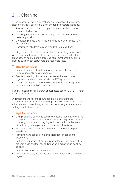# <span id="page-30-0"></span>21.0 Cleaning

Before reopening, make sure that any site or location that has been closed or partially operated is clean and ready to restart, including:

- An assessment for all sites, or parts of sites, that have been closed before restarting work.
- Cleaning procedures and/or providing hand sanitiser before restarting activity.
- Completing a deep clean if the premises have been closed for a long duration.
- Considering risks from legionella and taking precautions.

Keeping the workplace clean is essential for preventing transmission via contaminated surfaces. If your premises are shared with other organisations/contractors, a collective agreement should be put in place to outline each party's role and responsibilities.

### Things to consider

- Frequent cleaning of work areas and equipment between uses using your usual cleaning products.
- Frequent cleaning of objects and surfaces that are touched regularly, e.g. kitchens and sports and ICT equipment.
- Clearing workspaces and removing waste and belongings from the work area at the end of a session.

If you are cleaning after a known or suspected case of COVID-19, refer to the specific guidance.

Organisations will need to ensure good levels of hygiene are maintained, this includes handwashing, sanitation facilities and toilets. Additional Public Health England advice on cleaning non-healthcare settings can be found [here](https://www.gov.uk/government/publications/covid-19-decontamination-in-non-healthcare-settings).

- Using signs and posters to build awareness of good handwashing technique, the need to increase handwashing frequency, avoiding touching your face and coughing and sneezing into a tissue that is binned safely or into your arm if a tissue is not available.
- Providing regular reminders and signage to maintain hygiene standards.
- Providing hand sanitiser in multiple locations in addition to washrooms.
- Setting clear use and cleaning guidance for toilets to ensure they are kept clean and that social distancing is achieved as much as possible.
- Enhancing cleaning for busy areas.
- Providing hand drying facilities with either paper towels or electrical dryers.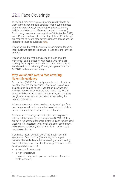### <span id="page-31-0"></span>22.0 Face Coverings

In England, face coverings are now required by law to be worn in most indoor public settings (shops, supermarkets, indoor transport hubs, indoor shopping centres, banks, building societies, post offices and on public transport). Most young people and workers (since 24 September 2020) aged 11 years and over (from the day of their  $11<sup>th</sup>$  birthday) are required to wear a face covering indoors. Please see the latest face covering guidance [here](https://www.gov.uk/government/publications/face-coverings-when-to-wear-one-and-how-to-make-your-own/face-coverings-when-to-wear-one-and-how-to-make-your-own).

Please be mindful that there are valid exemptions for some individuals and groups to not wear a face covering in these settings.

Please be mindful that the wearing of a face covering may inhibit communication with people who rely on lip reading, facial expressions and clear sound. Face shields are allowed, but provide significantly less protection from COVID19 and are not encouraged.

#### Why you should wear a face covering: Scientific evidence

Coronavirus (COVID-19) usually spreads by droplets from coughs, sneezes and speaking. These droplets can also be picked up from surfaces, if you touch a surface and then your face without washing your hands first. This is why social distancing, regular hand hygiene, and covering coughs and sneezes is so important in controlling the spread of the virus.

Evidence shows that when used correctly, wearing a face covering may reduce the spread of coronavirus droplets in certain circumstances, helping to protect others.

Because face coverings are mainly intended to protect others, not the wearer, from coronavirus (COVID-19) they are not a replacement for social distancing and regular hand washing. It is important to follow all the other government advice on coronavirus (COVID-19) including staying safe outside your home.

If you have recent onset of any of the most important symptoms of coronavirus (COVID-19), you and your household must isolate at home: wearing a face covering does not change this. You should arrange to have a test to see if you have COVID-19:

- a new continuous cough
- a high temperature
- a loss of, or change in, your normal sense of smell or taste (anosmia)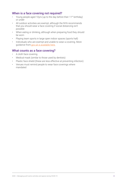#### When is a face covering not required?

- Young people aged 10yrs (up to the day before their 11<sup>th</sup> birthday) or under
- All outdoor activities are exempt, although the NYA recommends that you should wear a face covering if social distancing isn't possible
- When eating or drinking, although when preparing food they should be worn
- Playing team sports in large open indoor spaces (sports hall)
- Individuals who are exempt and unable to wear a covering. More guidance from [gov.uk is available here.](https://www.gov.uk/government/publications/face-coverings-when-to-wear-one-and-how-to-make-your-own/face-coverings-when-to-wear-one-and-how-to-make-your-own)

#### What counts as a face covering?

- A cloth face covering
- Medical mask (similar to those used by dentists)
- Plastic face shield (these are less effective at preventing infection)
- Venues must remind people to wear face coverings where mandated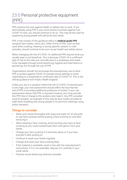### <span id="page-33-0"></span>23.0 Personal protective equipment (PPE)

PPE protects the user against health or safety risks at work. If you were already using PPE in your work activity to protect against non-COVID-19 risks, you should continue to do so. This may be the case for supporting young people with personal care needs.

PPE in the context of this guidance refers to **medical grade PPE** (surgical face masks, visors etc). Other forms of PPE, such as that used when cooking, cleaning or during specific outdoor or craft activities, should continue to be worn as per health and safety advice.

When managing the risk of COVID-19, additional PPE beyond what you usually wear is not beneficial. This is because COVID-19 is a different type of risk to the risks you normally face in a workplace and needs to be managed through social distancing, hygiene and fixed teams or partnering, not through the use of PPE.

Organisations should not encourage the precautionary use of extra PPE to protect against COVID-19 outside clinical settings or when responding to a suspected or confirmed case of COVID-19. This is the official guidance from Public Health England.

Unless you are in a situation where the risk of COVID-19 transmission is very high, your risk assessment should reflect the fact that the role of PPE in providing additional protection is limited. If your risk assessment shows that PPE is required, however, you must provide this PPE free of charge to the workers who need it. Any PPE provided must fit properly. An example of this may be face masks provided to staff when travelling with young people or to and from meetings using public transport.

- Wash your hands thoroughly with soap and water for 20 seconds or use hand sanitiser before putting a face covering on and after removing it.
- When wearing a face covering, avoid touching your face or face covering as you could contaminate them with germs from your hands.
- Change your face covering if it becomes damp or if you have touched it after putting on.
- Continue to wash your hands regularly.
- Change and wash your face covering daily.
- If the material is washable, wash in line with the manufacturer's instructions. If it is not washable, dispose of it carefully in your usual waste.
- Practise social distancing wherever possible.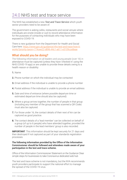### <span id="page-34-0"></span>24.0 NHS test and trace service

The NHS has established a new *Test and Trace Service* which youth sector providers need to be aware of.

The government is asking cafes, restaurants and social venues where individuals are onsite (inside or out) to record attendance information for the purposes of contacting individuals who may have been exposed to COVID-19.

There is new guidance from the Department for Health and Social Care here: [https://www.gov.uk/guidance/nhs-test-and-trace-how-it](https://www.gov.uk/guidance/nhs-test-and-trace-how-it-works?priority-taxon=774cee22-d896-44c1-a611-e3109cce8eae)[works?priority-taxon=774cee22-d896-44c1-a611-e3109cce8eae](https://www.gov.uk/guidance/nhs-test-and-trace-how-it-works?priority-taxon=774cee22-d896-44c1-a611-e3109cce8eae)

#### What should you be doing?

The following information on all leaders and young people (over 16) in attendance must be captured (unless they have 'checked in' using the NHS COVID-19 app) or are unable to provide these details owing to a health reason or disability:

- **1.** Name
- **2.** Phone number on which the individual may be contacted
- **3.** Email address if the individual is unable to provide a phone number
- **4.** Postal address if the individual is unable to provide an email address
- **5.** Date and time of entrance (where possible departure time or estimated departure time should also be captured)
- **6.** Where a group arrives together, the number of people in that group (including any member of the group that has scanned a QR Code) must also be captured.
- **7.** For those under 16, the contact details of their next of kin can be captured as good practice.
- **8.** The contact details of a 'lead member' can be collected on behalf of a group (of up to 6 people) who have attended together, provided the number of people in the lead members' group is also recorded.

**IMPORTANT:** This information should be kept securely for 21 days and then destroyed if not captured as part of your standards registration processes.

#### **The following information provided by the Office of the Information Commissioner should be followed and attendees made aware of your participation in the test and trace scheme.**

Office of the Information Commissioner Statement on the Guidance Clear simple steps for businesses to take Coronavirus dedicated web hub

The test and trace scheme is not mandatory, but the NYA recommends youth providers participate to support the national effort to manage the spread of the COVID-19 virus.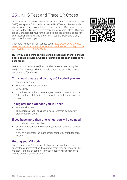# 25.0 NHS Test and Trace QR Codes

Most public youth sector venues are required (from the 24<sup>th</sup> September 2020) to display a QR code linked to the NHS Test and Trace mobile app. All venues need to apply for a venue specific QR code which can be applied for online and will be emailed to you shortly after. QR codes are only provided for your venue, you do not need different codes for each session provided. Use of the NHS Test and Trace app is only applicable for over 16yrs.

Click here to apply for your venues code: [https://www.gov.uk/create](https://www.gov.uk/create-coronavirus-qr-poster?fbclid=IwAR0_Ek2X30Ihul-VrUkr5qAhfSp7cD72tamv7zkf1BJWLfYz_GzDBn5Pd4Y)[coronavirus-qr-poster?fbclid=IwAR0\\_Ek2X30Ihul-VrUkr5qAhfSp7cD72t](https://www.gov.uk/create-coronavirus-qr-poster?fbclid=IwAR0_Ek2X30Ihul-VrUkr5qAhfSp7cD72tamv7zkf1BJWLfYz_GzDBn5Pd4Y) [amv7zkf1BJWLfYz\\_GzDBn5Pd4Y](https://www.gov.uk/create-coronavirus-qr-poster?fbclid=IwAR0_Ek2X30Ihul-VrUkr5qAhfSp7cD72tamv7zkf1BJWLfYz_GzDBn5Pd4Y) 

#### **NB. If you use a third parties' venue, please ask them to ensure a QR code is provided. Codes are provided for each address not user group.**

Get visitors to scan the QR code when they arrive, using the NHS COVID-19 app. This is to help trace and stop the spread of coronavirus (COVID-19).

#### You should create and display a QR code if you are:

- Community Centres
- Youth and Community Centres
- Village Halls
- If you have more than one venue, you need to create a separate QR code for each location. You can add multiple locations in the service.

### To register for a QR code you will need:

- Your email address
- The address of your business, place of worship, community organisation or event

#### If you have more than one venue, you will also need:

- the address of each location
- an email address for the manager (or point of contact) for each location
- a phone number for the manager (or point of contact) for each location

### Getting your QR code

You'll receive your QR code poster by email soon after you have submitted your information. If you have more than one location, the manager (or point of contact) for each location will also receive a unique QR code poster by email.

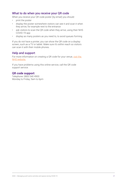### What to do when you receive your QR code

When you receive your QR code poster (by email) you should:

- print the poster
- display the poster somewhere visitors can see it and scan it when they arrive, for example next to the entrance
- ask visitors to scan the QR code when they arrive, using their NHS COVID-19 app
- display as many posters as you need to, to avoid queues forming

If you do not have a printer, you can show the QR code on a display screen, such as a TV or tablet. Make sure it's within reach so visitors can scan it with their mobile phones.

#### Help and support

For more information on creating a QR code for your venue, visit the [NHS website.](https://faq.covid19.nhs.uk/category/?id=CAT-01027&parentid=CAT-01025)

If you have problems using this online service, call the QR code support service.

#### **QR code support**

Telephone: 0800 540 4900 Monday to Friday, 9am to 6pm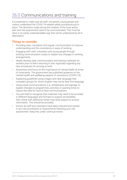# <span id="page-37-0"></span>26.0 Communications and training

It is essential to make sure all staff, volunteers, young people and visitors understand the COVID-19-related safety procedures put in place. The decisions made during the creation of the local action plan and risk assessment need to be communicated. This must be done in an easily understandable way that will be understood by all in attendance.

- Providing clear, consistent and regular communication to improve understanding and the consistency in ways of working.
- Engaging with staff, volunteers and young people through existing communication routes to explain any changes in working arrangements.
- Ideally develop clear communication and training materials for workers prior to them returning to site, especially regarding any new procedures for arriving at work.
- Awareness and focus on the importance of mental health at times of uncertainty. The government has published guidance on the mental health and wellbeing aspects of coronavirus (COVID-19).
- Explaining guidelines using images and clear language that considers groups for whom English may not be their first language.
- Using visual communications, e.g. whiteboards and signage, to explain changes to programmes, activities or opening times to reduce the need for face-to-face communications.
- You will need to recognise that materials may need to be provided in different languages and formats to support accessibility. Also, those with additional needs may need support to access information. This should be provided.
- Ensure all staff and volunteers have been inducted and trained in any new procedures or requirements following your risk assessment. Keep this under continual review.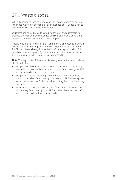# <span id="page-38-0"></span>27.0 Waste disposal

When disposing of face coverings and PPE, people should do so in a 'black bag' waste bin or litter bin. Face coverings or PPE should not be put in a recycling bin or dropped as litter.

Organisations should provide extra bins for staff and customers to dispose of single-use face coverings and PPE and should ensure that staff and customers do not use a recycling bin.

People who are self-isolating, and members of their household, should double bag face coverings and items of PPE, these should be stored for 72 hours before being disposed of in a 'black bag' waste bin. Full details on how to dispose of your personal or business waste during the coronavirus pandemic can be found on GOV.UK.

**Note:** The key points of the waste disposal guidance that your updates should reflect are:

- People should dispose of face coverings and PPE in a 'black bag' waste bin or litter bin. People should not put face coverings or PPE in a recycling bin or drop them as litter.
- People who are self-isolating, and members of their household, should double bag face coverings and items of PPE to be disposed of, and store them for 72 hours before putting them in a 'black bag' waste bin.
- Businesses should provide extra bins for staff and customers to throw away face coverings and PPE and should ensure that staff and customers do not use a recycling bin.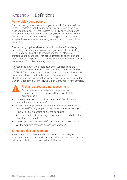### <span id="page-39-0"></span>Appendix 1. Definitions

### Vulnerable young people

There are two groups of vulnerable young people. The first is defined by the Department for Education as any young person or child in need under section 17 of the Children Act 1989, any young person with an Education Health and Care Plan (EHCP) under the Children and Families Act 2014 or any child or young person who has been assessed as otherwise vulnerable by educational providers or local authorities.

The second group has a broader definition, with the focus being on supporting and safeguarding vulnerable young people, particularly 8–19-year-olds, through adolescence and the key stages of transitioning to adulthood. They are understood to be children and young people living in vulnerable family situations and includes those not known to formal or statutory services.

We recognise that young people have other vulnerabilities and difficulties, and some may have needs that have been amplified by COVID-19. This can result in risky behaviours and crisis points in their lives. Support for the vulnerable young people who are most in need should be a priority consideration for services and support during the COVID-19 pandemic. See the NYA's 'Out of Sight?' report for examples.



#### Risk and safeguarding assessment

- Before commencing delivery, a comprehensive risk assessment must be completed that should, at the minimum, ask:
- Is there a need for this activity to take place? Could this work happen through other means?
- How will the proposed activity be managed safely? What are the ratios of staff/young people? How will disclosures be managed?
- How will social distancing guidelines be applied?
- Are there health risks to young people or staff/trusted adults that should be considered?
- Is PPE appropriate or needed (for personal care reasons, etc.)?
- Will the activities proposed ensure safe practice?

#### Enhanced risk assessment

An enhanced risk assessment builds on the risk and safeguarding assessment and also factors in the physical premises involved and any additional risks they may pose to the staff or public.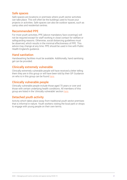#### <span id="page-40-0"></span>Safe spaces

Safe spaces are locations or premises where youth sector activities can take place. This will often be the buildings used to house your projects or activities. Safe spaces can also be outdoor spaces, such as camp sites and residential centres.

#### Recommended PPE

For most youth activities, PPE (above mandatory face coverings) will not be required except for staff working in close contact for welfare or safeguarding reasons. Otherwise, social distancing guidelines must be observed, which results in the minimal effectiveness of PPE. This advice may change at any time. PPE should be used in line with Public Health England's guidance.

### Hand sanitation

Handwashing facilities must be available. Additionally, hand sanitising gel can be provided.

#### Clinically extremely vulnerable

Clinically extremely vulnerable people will have received a letter telling them they are in this group or will have been told by their GP. Guidance on who is in this group can be found here.

#### Clinically vulnerable people

Clinically vulnerable people include those aged 70 years or over and those with certain underlying health conditions. All members of this group are listed in the 'clinically vulnerable' section here.

### Detached youth activity

Activity which takes place away from traditional youth sector premises that is informal in nature. Youth workers visiting the local park or shops to engage with young people on their own terms.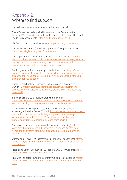### <span id="page-41-0"></span>Appendix 2. Where to find support

The following websites may provide additional support:

The NYA has teamed up with UK Youth and the Federation for Detached Youth Work to provide further support, tools, checklists and model risk assessments: <https://youthworksupport.co.uk>

UK Government coronavirus website:<https://www.gov.uk/coronavirus>

The Health Protection (Coronavirus) (England) Regulations 2020: <https://www.legislation.gov.uk/coronavirus>

The Department for Education guidance can be found here: [https://](https://www.gov.uk/government/publications/coronavirus-covid-19-guidance-on-vulnerable-children-and-young-people/coronavirus-covid-19-guidance-on-vulnerable-children-and-young-people)  [www.gov.uk/government/publications/coronavirus-covid-19-guidance](https://www.gov.uk/government/publications/coronavirus-covid-19-guidance-on-vulnerable-children-and-young-people/coronavirus-covid-19-guidance-on-vulnerable-children-and-young-people)[on-vulnerable-children-and-young-people/coronavirus-covid-19](https://www.gov.uk/government/publications/coronavirus-covid-19-guidance-on-vulnerable-children-and-young-people/coronavirus-covid-19-guidance-on-vulnerable-children-and-young-people)  [guidance-on-vulnerable-children-and-young-people](https://www.gov.uk/government/publications/coronavirus-covid-19-guidance-on-vulnerable-children-and-young-people/coronavirus-covid-19-guidance-on-vulnerable-children-and-young-people) 

Further guidance for young people can be found here: https://www. [gov.uk/government/publications/stay-alert-and-safe-social-distancing](https://www.gov.uk/government/publications/stay-alert-and-safe-social-distancing-guidance-for-young-people/staying-alert-and-safe-social-distancing-guidance-for-young-people)[guidance-for-young-people/staying-alert-and-safe-social-distancing](https://www.gov.uk/government/publications/stay-alert-and-safe-social-distancing-guidance-for-young-people/staying-alert-and-safe-social-distancing-guidance-for-young-people)[guidance-for-young-people](https://www.gov.uk/government/publications/stay-alert-and-safe-social-distancing-guidance-for-young-people/staying-alert-and-safe-social-distancing-guidance-for-young-people) 

Public Health England; Disparities in the risk and outcomes of COVID-19: [https://assets.publishing.service.gov.uk/government/](https://assets.publishing.service.gov.uk/government/uploads/system/uploads/attachment_data/file/891116/disparities_review.pdf)  [uploads/system/uploads/attachment\\_data/file/891116/disparities\\_](https://assets.publishing.service.gov.uk/government/uploads/system/uploads/attachment_data/file/891116/disparities_review.pdf)  [review.pdf](https://assets.publishing.service.gov.uk/government/uploads/system/uploads/attachment_data/file/891116/disparities_review.pdf) 

Staying alert and safe (social distancing) guidance: [https://www.gov.uk/government/publications/staying-alert-and-safe](https://www.gov.uk/government/publications/staying-alert-and-safe-social-distancing/staying-alert-and-safe-social-distancing)[social-distancing/staying-alert-and-safe-social-distancing](https://www.gov.uk/government/publications/staying-alert-and-safe-social-distancing/staying-alert-and-safe-social-distancing) 

Guidance on shielding and protecting people who are clinically extremely vulnerable from COVID-19: [https://www.gov.uk/government/](https://www.gov.uk/government/publications/guidance-on-shielding-and-protecting-extremely-vulnerable-persons-from-covid-19/guidance-on-shielding-and-protecting-extremely-vulnerable-persons-from-covid-19)  [publications/guidance-on-shielding-and-protecting-extremely](https://www.gov.uk/government/publications/guidance-on-shielding-and-protecting-extremely-vulnerable-persons-from-covid-19/guidance-on-shielding-and-protecting-extremely-vulnerable-persons-from-covid-19)[vulnerable-persons-from-covid-19/guidance-on-shielding-and](https://www.gov.uk/government/publications/guidance-on-shielding-and-protecting-extremely-vulnerable-persons-from-covid-19/guidance-on-shielding-and-protecting-extremely-vulnerable-persons-from-covid-19)[protecting-extremely-vulnerable-persons-from-covid-19](https://www.gov.uk/government/publications/guidance-on-shielding-and-protecting-extremely-vulnerable-persons-from-covid-19/guidance-on-shielding-and-protecting-extremely-vulnerable-persons-from-covid-19) 

Staying at home and away from others (social distancing): [https://](https://www.gov.uk/government/publications/full-guidance-on-staying-at-home-and-away-from-others/full-guidance-on-staying-at-home-and-away-from-others)  [www.gov.uk/government/publications/full-guidance-on-staying-at](https://www.gov.uk/government/publications/full-guidance-on-staying-at-home-and-away-from-others/full-guidance-on-staying-at-home-and-away-from-others)[home-and-away-from-others/full-guidance-on-staying-at-home-and](https://www.gov.uk/government/publications/full-guidance-on-staying-at-home-and-away-from-others/full-guidance-on-staying-at-home-and-away-from-others)[away-from-others](https://www.gov.uk/government/publications/full-guidance-on-staying-at-home-and-away-from-others/full-guidance-on-staying-at-home-and-away-from-others) 

Coronavirus (COVID-19): safer travel guidance for passengers: https:// [www.gov.uk/guidance/coronavirus-covid-19-safer-travel-guidance-for](https://www.gov.uk/guidance/coronavirus-covid-19-safer-travel-guidance-for-passengers)[passengers](https://www.gov.uk/guidance/coronavirus-covid-19-safer-travel-guidance-for-passengers) 

Health and Safety Executive (HSE) general COVID-19 website: [https://](https://www.hse.gov.uk/coronavirus/index.htm) [www.hse.gov.uk/news/coronavirus.htm](https://www.hse.gov.uk/coronavirus/index.htm) 

HSE working safely during the coronavirus outbreak guidance: [https://](https://www.hse.gov.uk/news/working-safely-during-coronavirus-outbreak.htm) [www.hse.gov.uk/news/working-safely-during-coronavirus- outbreak.](https://www.hse.gov.uk/news/working-safely-during-coronavirus-outbreak.htm) [htm](https://www.hse.gov.uk/news/working-safely-during-coronavirus-outbreak.htm)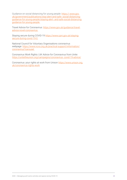Guidance on social distancing for young people: [https:// www.gov.](https://www.gov.uk/government/publications/stay-alert-and-safe-social-distancing-guidance-for-young-people/staying-alert-and-safe-social-distancing-guidance-for-young-people) [uk/government/publications/stay-alert-and-safe- social-distancing](https://www.gov.uk/government/publications/stay-alert-and-safe-social-distancing-guidance-for-young-people/staying-alert-and-safe-social-distancing-guidance-for-young-people)[guidance-for-young-people/staying-alert- and-safe-social-distancing](https://www.gov.uk/government/publications/stay-alert-and-safe-social-distancing-guidance-for-young-people/staying-alert-and-safe-social-distancing-guidance-for-young-people)[guidance-for-young-people](https://www.gov.uk/government/publications/stay-alert-and-safe-social-distancing-guidance-for-young-people/staying-alert-and-safe-social-distancing-guidance-for-young-people) 

Travel Advice for Coronavirus: [https://www.gov.uk/guidance/travel](https://www.gov.uk/guidance/travel-advice-novel-coronavirus)[advice-novel-coronavirus](https://www.gov.uk/guidance/travel-advice-novel-coronavirus) 

Staying secure during COVID-19 [https://www.cpni.gov.uk/staying](https://www.cpni.gov.uk/staying-secure-during-covid-19-0)[secure-during-covid-19-0](https://www.cpni.gov.uk/staying-secure-during-covid-19-0) 

National Council for Voluntary Organisations coronavirus webpage: [https://www.ncvo.org.uk/practical-support/information/](https://www.ncvo.org.uk/practical-support/information/coronavirus?carousel) [coronavirus?carousel](https://www.ncvo.org.uk/practical-support/information/coronavirus?carousel) 

Coronavirus Work Rights | UK Advice for Coronavirus from Unite: [https://unitetheunion.org/campaigns/coronavirus- covid-19-advice/](https://unitetheunion.org/campaigns/coronavirus-covid-19-advice/)

Coronavirus: your rights at work from Unison [https://www.unison.org.](https://www.unison.org.uk/coronavirus-rights-work) [uk/coronavirus-rights-work](https://www.unison.org.uk/coronavirus-rights-work)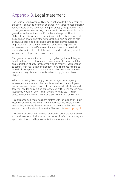# <span id="page-43-0"></span>Appendix 3. Legal statement

The National Youth Agency (NYA) does not provide this document to the sector in anything less than 'guidance'. NYA takes no responsibility for how users of this document interpret or apply the guidance. Users of this guide must ensure they operate within the law, social distancing guidelines and meet their specific duties and responsibilities to stakeholders. It is for each organisational unit to make its own local decisions on how to apply the advice included. NYA cannot be held accountable for local decisions reached based on this guidance. Organisations must ensure they have suitable action plans, risk assessments and be self-satisfied that they have considered all reasonable actions to protect the welfare, health and safety of staff, volunteers, employees and service users.

This guidance does not supersede any legal obligations relating to health and safety, employment or equalities and it is important that as an organisation, charity, local authority or an employer you continue to comply with your existing obligations, including those relating to individuals with protected characteristics. This document contains non-statutory guidance to consider when complying with these obligations.

When considering how to apply this guidance, consider agency workers, contractors and other people, as well as your employees and service users/young people. To help you decide which actions to take, you need to carry out an appropriate COVID-19 risk assessment, just as you would for other health and safety hazards. This risk assessment must be done in consultation with unions or workers.

This guidance document has been drafted with the support of Public Health England and the Health and Safety Executive. Users should ensure they are using the most up- to-date version of this document and can check this at any time via the NYA website. <www.nya.org.uk>

This guidance document has been provided to allow the youth sector to draw its own conclusions as to the nature of safe youth activity and appropriate levels and types of activities at any given time.